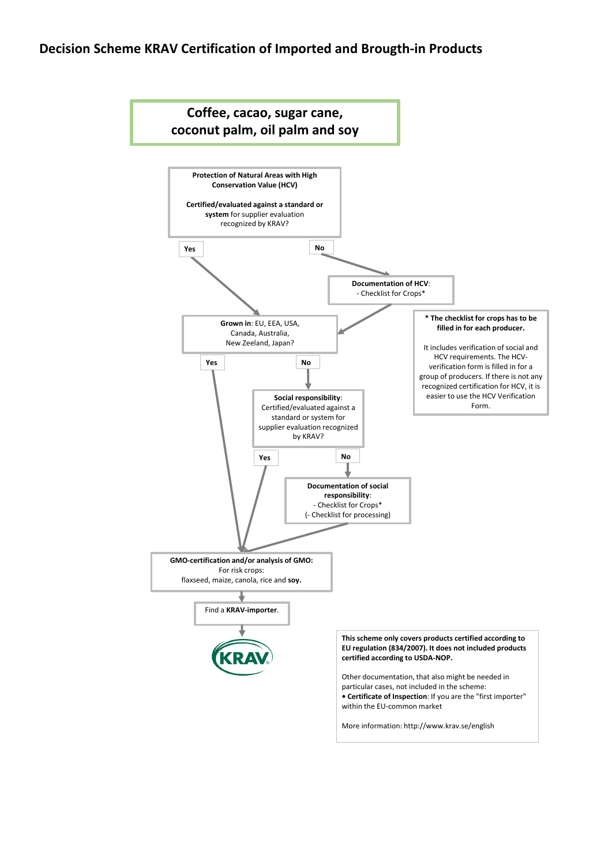# **Decision Scheme KRAV Certification of Imported and Brougth-in Products**

#### **certified according to USDA-NOP.**

Other documentation, that also might be needed in particular cases, not included in the scheme: **• Certificate of Inspection**: If you are the "first importer" within the EU-common market

More information: http://www.krav.se/english